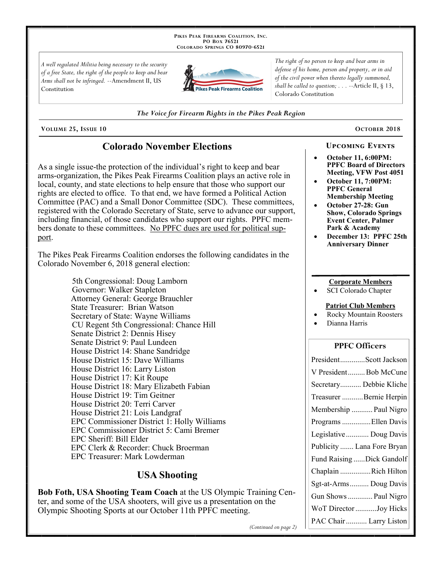PIKES PEAK FIREARMS COALITION, INC. PO Box 76521 COLORADO SPRINGS CO 80970-6521

A well regulated Militia being necessary to the security of a free State, the right of the people to keep and bear Arms shall not be infringed. --Amendment II, US Constitution



The right of no person to keep and bear arms in defense of his home, person and property, or in aid of the civil power when thereto legally summoned, shall be called to question;  $\ldots$  --Article II, § 13, Colorado Constitution

The Voice for Firearm Rights in the Pikes Peak Region

VOLUME 25, ISSUE 10

# **Colorado November Elections**

As a single issue-the protection of the individual's right to keep and bear arms-organization, the Pikes Peak Firearms Coalition plays an active role in local, county, and state elections to help ensure that those who support our rights are elected to office. To that end, we have formed a Political Action Committee (PAC) and a Small Donor Committee (SDC). These committees, registered with the Colorado Secretary of State, serve to advance our support, including financial, of those candidates who support our rights. PPFC members donate to these committees. No PPFC dues are used for political support.

The Pikes Peak Firearms Coalition endorses the following candidates in the Colorado November 6, 2018 general election:

> 5th Congressional: Doug Lamborn Governor: Walker Stapleton Attorney General: George Brauchler **State Treasurer: Brian Watson** Secretary of State: Wayne Williams CU Regent 5th Congressional: Chance Hill Senate District 2: Dennis Hisey Senate District 9: Paul Lundeen House District 14: Shane Sandridge House District 15: Dave Williams House District 16: Larry Liston House District 17: Kit Roupe House District 18: Mary Elizabeth Fabian House District 19: Tim Geitner House District 20: Terri Carver House District 21: Lois Landgraf EPC Commissioner District 1: Holly Williams EPC Commissioner District 5: Cami Bremer EPC Sheriff: Bill Elder EPC Clerk & Recorder: Chuck Broerman EPC Treasurer: Mark Lowderman

# **USA Shooting**

Bob Foth, USA Shooting Team Coach at the US Olympic Training Center, and some of the USA shooters, will give us a presentation on the Olympic Shooting Sports at our October 11th PPFC meeting.

OCTOBER 2018

### **UPCOMING EVENTS**

- **October 11, 6:00PM: PPFC Board of Directors** Meeting, VFW Post 4051
- **October 11, 7:00PM: PPFC General Membership Meeting**
- October 27-28: Gun **Show, Colorado Springs Event Center, Palmer** Park & Academy
- December 13: PPFC 25th **Anniversary Dinner**

### **Corporate Members**

SCI Colorado Chapter

#### **Patriot Club Members**

- **Rocky Mountain Roosters**
- Dianna Harris

### **PPFC Officers**

| PresidentScott Jackson     |
|----------------------------|
| V PresidentBob McCune      |
| Secretary Debbie Kliche    |
| Treasurer Bernie Herpin    |
| Membership  Paul Nigro     |
| Programs Ellen Davis       |
| Legislative  Doug Davis    |
| Publicity  Lana Fore Bryan |
| Fund Raising Dick Gandolf  |
| Chaplain Rich Hilton       |
| Sgt-at-Arms Doug Davis     |
| Gun Shows  Paul Nigro      |
| WoT Director Joy Hicks     |
| PAC Chair  Larry Liston    |

(Continued on page 2)